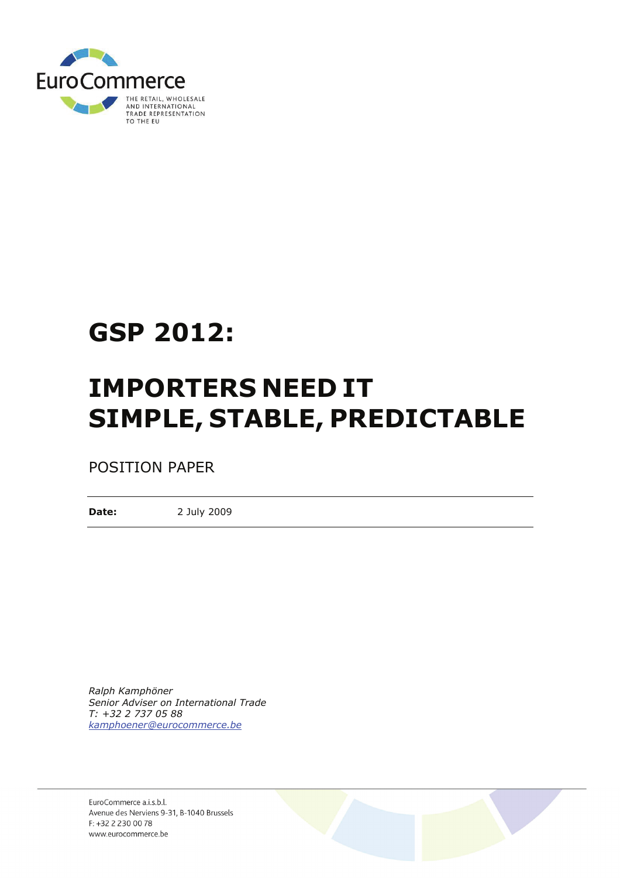

# **GSP 2012:**

# **IMPORTERS NEED IT SIMPLE, STABLE, PREDICTABLE**

POSITION PAPER

**Date:** 2 July 2009

*Ralph Kamphöner Senior Adviser on International Trade T: +32 2 737 05 88 kamphoener@eurocommerce.be*

EuroCommerce a.i.s.b.l. Avenue des Nerviens 9-31, B-1040 Brussels F: +32 2 2 30 00 78 www.eurocommerce.be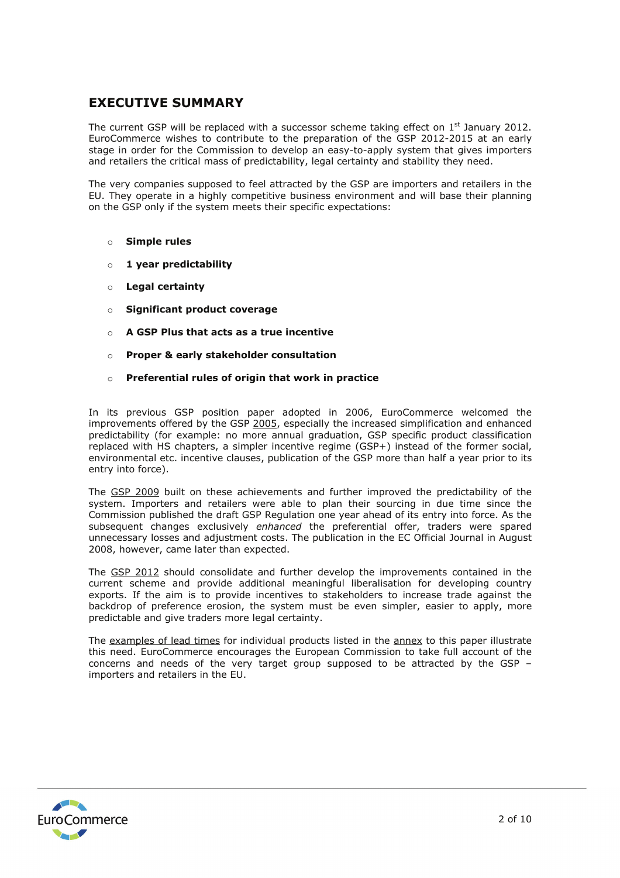# **EXECUTIVE SUMMARY**

The current GSP will be replaced with a successor scheme taking effect on  $1<sup>st</sup>$  January 2012. EuroCommerce wishes to contribute to the preparation of the GSP 2012-2015 at an early stage in order for the Commission to develop an easy-to-apply system that gives importers and retailers the critical mass of predictability, legal certainty and stability they need.

The very companies supposed to feel attracted by the GSP are importers and retailers in the EU. They operate in a highly competitive business environment and will base their planning on the GSP only if the system meets their specific expectations:

### o **Simple rules**

- o **1 year predictability**
- o **Legal certainty**
- o **Significant product coverage**
- o **A GSP Plus that acts as a true incentive**
- o **Proper & early stakeholder consultation**
- o **Preferential rules of origin that work in practice**

In its previous GSP position paper adopted in 2006, EuroCommerce welcomed the improvements offered by the GSP 2005, especially the increased simplification and enhanced predictability (for example: no more annual graduation, GSP specific product classification replaced with HS chapters, a simpler incentive regime (GSP+) instead of the former social, environmental etc. incentive clauses, publication of the GSP more than half a year prior to its entry into force).

The GSP 2009 built on these achievements and further improved the predictability of the system. Importers and retailers were able to plan their sourcing in due time since the Commission published the draft GSP Regulation one year ahead of its entry into force. As the subsequent changes exclusively *enhanced* the preferential offer, traders were spared unnecessary losses and adjustment costs. The publication in the EC Official Journal in August 2008, however, came later than expected.

The GSP 2012 should consolidate and further develop the improvements contained in the current scheme and provide additional meaningful liberalisation for developing country exports. If the aim is to provide incentives to stakeholders to increase trade against the backdrop of preference erosion, the system must be even simpler, easier to apply, more predictable and give traders more legal certainty.

The examples of lead times for individual products listed in the annex to this paper illustrate this need. EuroCommerce encourages the European Commission to take full account of the concerns and needs of the very target group supposed to be attracted by the GSP – importers and retailers in the EU.

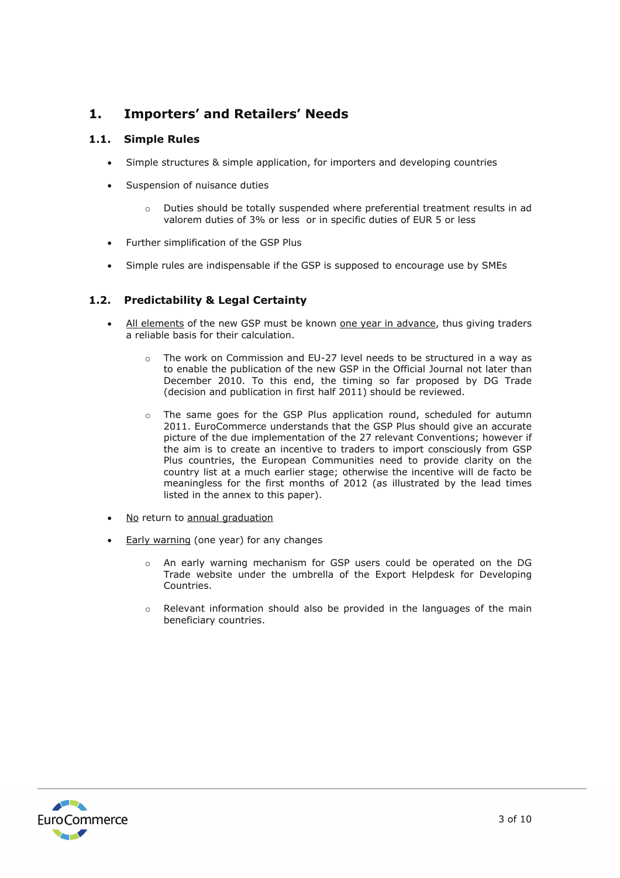# **1. Importers' and Retailers' Needs**

# **1.1. Simple Rules**

- Simple structures & simple application, for importers and developing countries
- Suspension of nuisance duties
	- o Duties should be totally suspended where preferential treatment results in ad valorem duties of 3% or less or in specific duties of EUR 5 or less
- Further simplification of the GSP Plus
- Simple rules are indispensable if the GSP is supposed to encourage use by SMEs

## **1.2. Predictability & Legal Certainty**

- All elements of the new GSP must be known one year in advance, thus giving traders a reliable basis for their calculation.
	- $\circ$  The work on Commission and EU-27 level needs to be structured in a way as to enable the publication of the new GSP in the Official Journal not later than December 2010. To this end, the timing so far proposed by DG Trade (decision and publication in first half 2011) should be reviewed.
	- $\circ$  The same goes for the GSP Plus application round, scheduled for autumn 2011. EuroCommerce understands that the GSP Plus should give an accurate picture of the due implementation of the 27 relevant Conventions; however if the aim is to create an incentive to traders to import consciously from GSP Plus countries, the European Communities need to provide clarity on the country list at a much earlier stage; otherwise the incentive will de facto be meaningless for the first months of 2012 (as illustrated by the lead times listed in the annex to this paper).
- No return to annual graduation
- **Early warning (one year) for any changes** 
	- o An early warning mechanism for GSP users could be operated on the DG Trade website under the umbrella of the Export Helpdesk for Developing Countries.
	- $\circ$  Relevant information should also be provided in the languages of the main beneficiary countries.

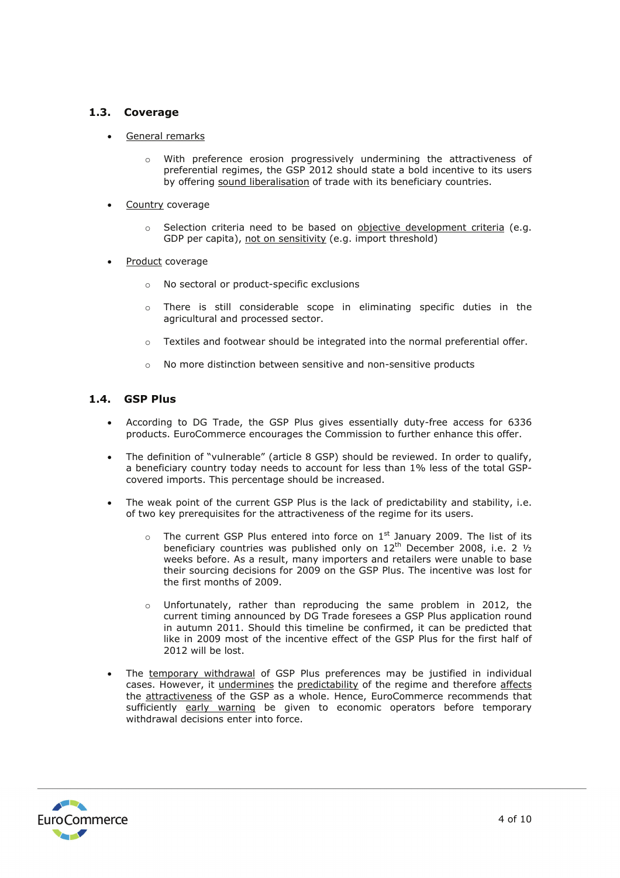# **1.3. Coverage**

- General remarks
	- o With preference erosion progressively undermining the attractiveness of preferential regimes, the GSP 2012 should state a bold incentive to its users by offering sound liberalisation of trade with its beneficiary countries.
- Country coverage
	- $\circ$  Selection criteria need to be based on objective development criteria (e.g. GDP per capita), not on sensitivity (e.g. import threshold)
- Product coverage
	- o No sectoral or product-specific exclusions
	- o There is still considerable scope in eliminating specific duties in the agricultural and processed sector.
	- $\circ$  Textiles and footwear should be integrated into the normal preferential offer.
	- o No more distinction between sensitive and non-sensitive products

## **1.4. GSP Plus**

- According to DG Trade, the GSP Plus gives essentially duty-free access for 6336 products. EuroCommerce encourages the Commission to further enhance this offer.
- The definition of "vulnerable" (article 8 GSP) should be reviewed. In order to qualify, a beneficiary country today needs to account for less than 1% less of the total GSPcovered imports. This percentage should be increased.
- The weak point of the current GSP Plus is the lack of predictability and stability, i.e. of two key prerequisites for the attractiveness of the regime for its users.
	- $\circ$  The current GSP Plus entered into force on 1<sup>st</sup> January 2009. The list of its beneficiary countries was published only on  $12<sup>th</sup>$  December 2008, i.e. 2  $\frac{1}{2}$ weeks before. As a result, many importers and retailers were unable to base their sourcing decisions for 2009 on the GSP Plus. The incentive was lost for the first months of 2009.
	- $\circ$  Unfortunately, rather than reproducing the same problem in 2012, the current timing announced by DG Trade foresees a GSP Plus application round in autumn 2011. Should this timeline be confirmed, it can be predicted that like in 2009 most of the incentive effect of the GSP Plus for the first half of 2012 will be lost.
- The temporary withdrawal of GSP Plus preferences may be justified in individual cases. However, it undermines the predictability of the regime and therefore affects the attractiveness of the GSP as a whole. Hence, EuroCommerce recommends that sufficiently early warning be given to economic operators before temporary withdrawal decisions enter into force.

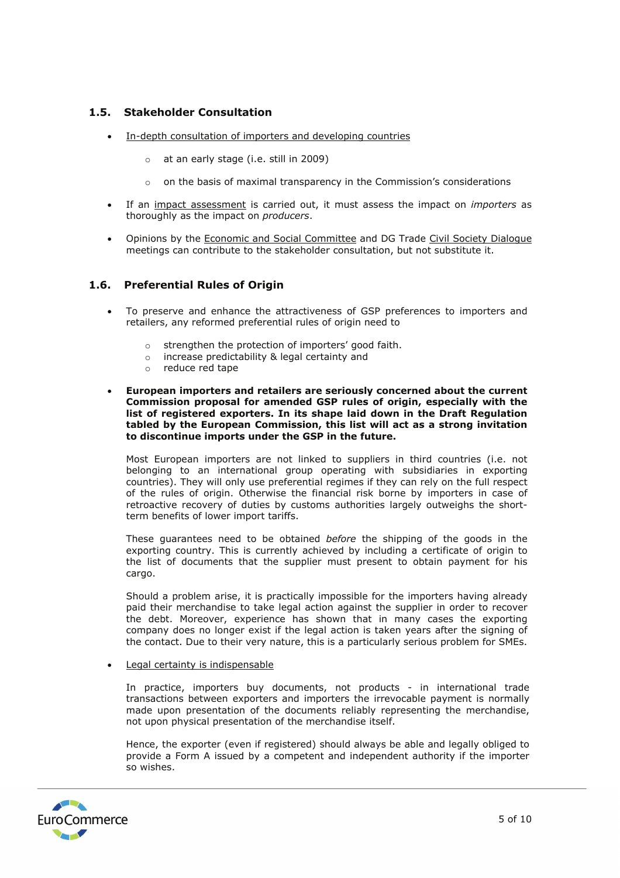# **1.5. Stakeholder Consultation**

- In-depth consultation of importers and developing countries
	- o at an early stage (i.e. still in 2009)
	- $\circ$  on the basis of maximal transparency in the Commission's considerations
- If an impact assessment is carried out, it must assess the impact on *importers* as thoroughly as the impact on *producers*.
- Opinions by the Economic and Social Committee and DG Trade Civil Society Dialogue meetings can contribute to the stakeholder consultation, but not substitute it.

## **1.6. Preferential Rules of Origin**

- To preserve and enhance the attractiveness of GSP preferences to importers and retailers, any reformed preferential rules of origin need to
	- o strengthen the protection of importers' good faith.
	- o increase predictability & legal certainty and
	- o reduce red tape
- **European importers and retailers are seriously concerned about the current Commission proposal for amended GSP rules of origin, especially with the list of registered exporters. In its shape laid down in the Draft Regulation tabled by the European Commission, this list will act as a strong invitation to discontinue imports under the GSP in the future.**

Most European importers are not linked to suppliers in third countries (i.e. not belonging to an international group operating with subsidiaries in exporting countries). They will only use preferential regimes if they can rely on the full respect of the rules of origin. Otherwise the financial risk borne by importers in case of retroactive recovery of duties by customs authorities largely outweighs the shortterm benefits of lower import tariffs.

These guarantees need to be obtained *before* the shipping of the goods in the exporting country. This is currently achieved by including a certificate of origin to the list of documents that the supplier must present to obtain payment for his cargo.

Should a problem arise, it is practically impossible for the importers having already paid their merchandise to take legal action against the supplier in order to recover the debt. Moreover, experience has shown that in many cases the exporting company does no longer exist if the legal action is taken years after the signing of the contact. Due to their very nature, this is a particularly serious problem for SMEs.

#### • Legal certainty is indispensable

In practice, importers buy documents, not products - in international trade transactions between exporters and importers the irrevocable payment is normally made upon presentation of the documents reliably representing the merchandise, not upon physical presentation of the merchandise itself.

Hence, the exporter (even if registered) should always be able and legally obliged to provide a Form A issued by a competent and independent authority if the importer so wishes.

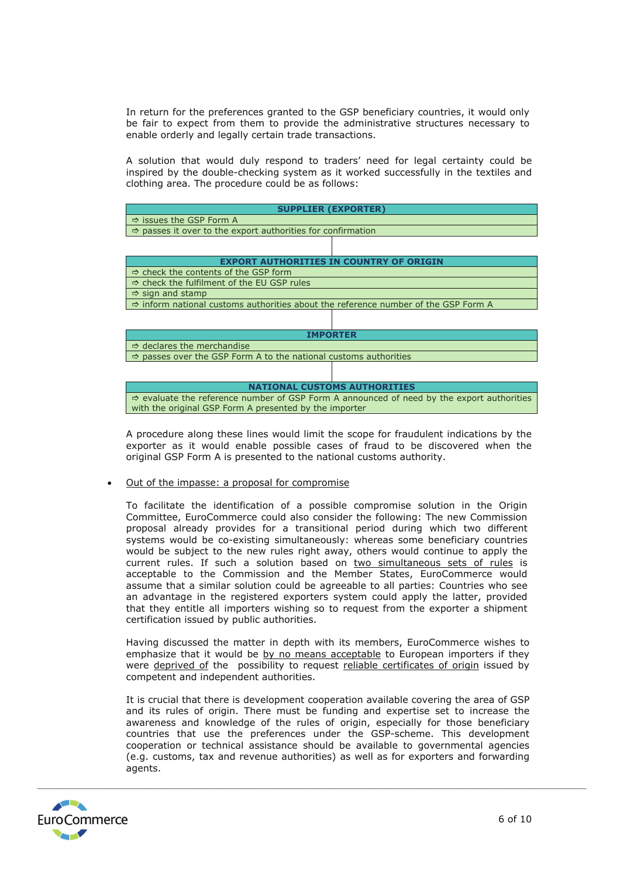In return for the preferences granted to the GSP beneficiary countries, it would only be fair to expect from them to provide the administrative structures necessary to enable orderly and legally certain trade transactions.

A solution that would duly respond to traders' need for legal certainty could be inspired by the double-checking system as it worked successfully in the textiles and clothing area. The procedure could be as follows:



A procedure along these lines would limit the scope for fraudulent indications by the exporter as it would enable possible cases of fraud to be discovered when the original GSP Form A is presented to the national customs authority.

#### • Out of the impasse: a proposal for compromise

To facilitate the identification of a possible compromise solution in the Origin Committee, EuroCommerce could also consider the following: The new Commission proposal already provides for a transitional period during which two different systems would be co-existing simultaneously: whereas some beneficiary countries would be subject to the new rules right away, others would continue to apply the current rules. If such a solution based on two simultaneous sets of rules is acceptable to the Commission and the Member States, EuroCommerce would assume that a similar solution could be agreeable to all parties: Countries who see an advantage in the registered exporters system could apply the latter, provided that they entitle all importers wishing so to request from the exporter a shipment certification issued by public authorities.

Having discussed the matter in depth with its members, EuroCommerce wishes to emphasize that it would be by no means acceptable to European importers if they were deprived of the possibility to request reliable certificates of origin issued by competent and independent authorities.

It is crucial that there is development cooperation available covering the area of GSP and its rules of origin. There must be funding and expertise set to increase the awareness and knowledge of the rules of origin, especially for those beneficiary countries that use the preferences under the GSP-scheme. This development cooperation or technical assistance should be available to governmental agencies (e.g. customs, tax and revenue authorities) as well as for exporters and forwarding agents.

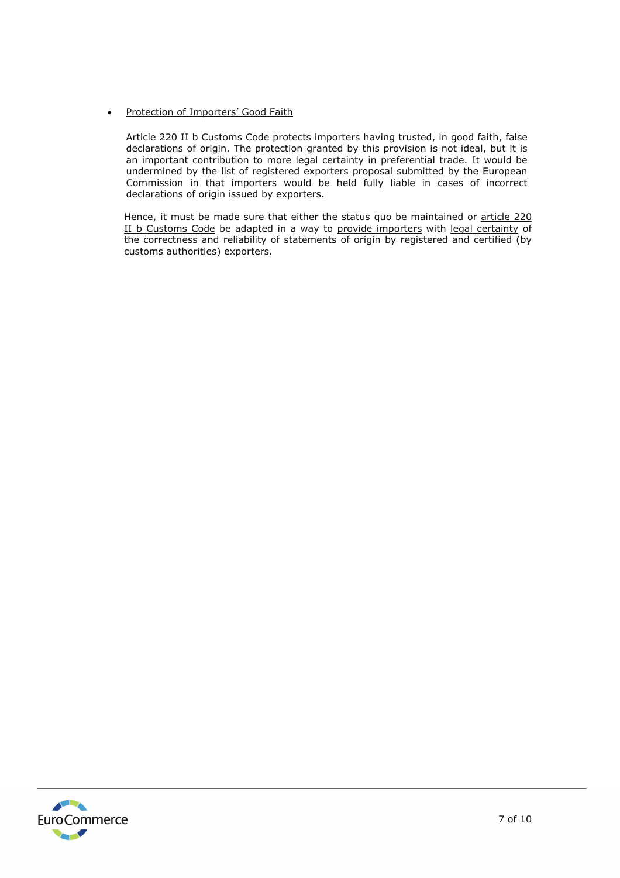## • Protection of Importers' Good Faith

Article 220 II b Customs Code protects importers having trusted, in good faith, false declarations of origin. The protection granted by this provision is not ideal, but it is an important contribution to more legal certainty in preferential trade. It would be undermined by the list of registered exporters proposal submitted by the European Commission in that importers would be held fully liable in cases of incorrect declarations of origin issued by exporters.

Hence, it must be made sure that either the status quo be maintained or article 220 II b Customs Code be adapted in a way to provide importers with legal certainty of the correctness and reliability of statements of origin by registered and certified (by customs authorities) exporters.

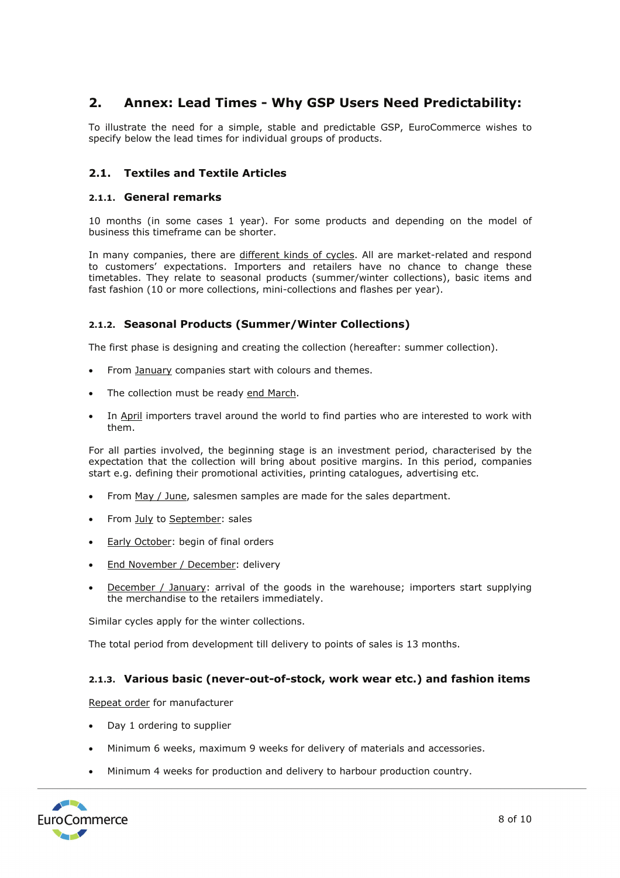# **2. Annex: Lead Times - Why GSP Users Need Predictability:**

To illustrate the need for a simple, stable and predictable GSP, EuroCommerce wishes to specify below the lead times for individual groups of products.

# **2.1. Textiles and Textile Articles**

### **2.1.1. General remarks**

10 months (in some cases 1 year). For some products and depending on the model of business this timeframe can be shorter.

In many companies, there are different kinds of cycles. All are market-related and respond to customers' expectations. Importers and retailers have no chance to change these timetables. They relate to seasonal products (summer/winter collections), basic items and fast fashion (10 or more collections, mini-collections and flashes per year).

## **2.1.2. Seasonal Products (Summer/Winter Collections)**

The first phase is designing and creating the collection (hereafter: summer collection).

- From January companies start with colours and themes.
- The collection must be ready end March.
- In April importers travel around the world to find parties who are interested to work with them.

For all parties involved, the beginning stage is an investment period, characterised by the expectation that the collection will bring about positive margins. In this period, companies start e.g. defining their promotional activities, printing catalogues, advertising etc.

- From May / June, salesmen samples are made for the sales department.
- From July to September: sales
- **Early October:** begin of final orders
- End November / December: delivery
- **December / January:** arrival of the goods in the warehouse; importers start supplying the merchandise to the retailers immediately.

Similar cycles apply for the winter collections.

The total period from development till delivery to points of sales is 13 months.

## **2.1.3. Various basic (never-out-of-stock, work wear etc.) and fashion items**

Repeat order for manufacturer

- Day 1 ordering to supplier
- Minimum 6 weeks, maximum 9 weeks for delivery of materials and accessories.
- Minimum 4 weeks for production and delivery to harbour production country.

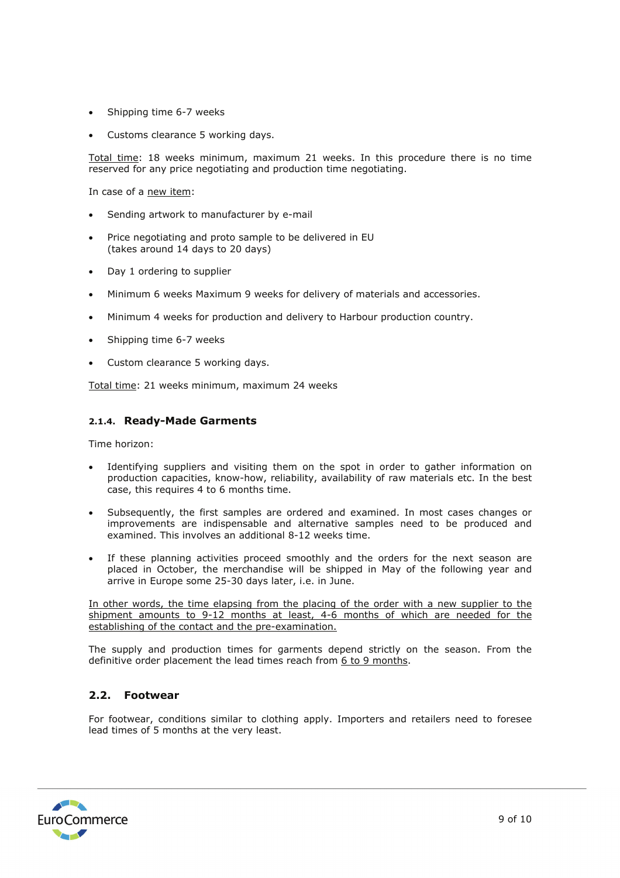- Shipping time 6-7 weeks
- Customs clearance 5 working days.

Total time: 18 weeks minimum, maximum 21 weeks. In this procedure there is no time reserved for any price negotiating and production time negotiating.

In case of a new item:

- Sending artwork to manufacturer by e-mail
- Price negotiating and proto sample to be delivered in EU (takes around 14 days to 20 days)
- Day 1 ordering to supplier
- Minimum 6 weeks Maximum 9 weeks for delivery of materials and accessories.
- Minimum 4 weeks for production and delivery to Harbour production country.
- Shipping time 6-7 weeks
- Custom clearance 5 working days.

Total time: 21 weeks minimum, maximum 24 weeks

## **2.1.4. Ready-Made Garments**

Time horizon:

- Identifying suppliers and visiting them on the spot in order to gather information on production capacities, know-how, reliability, availability of raw materials etc. In the best case, this requires 4 to 6 months time.
- Subsequently, the first samples are ordered and examined. In most cases changes or improvements are indispensable and alternative samples need to be produced and examined. This involves an additional 8-12 weeks time.
- If these planning activities proceed smoothly and the orders for the next season are placed in October, the merchandise will be shipped in May of the following year and arrive in Europe some 25-30 days later, i.e. in June.

In other words, the time elapsing from the placing of the order with a new supplier to the shipment amounts to 9-12 months at least, 4-6 months of which are needed for the establishing of the contact and the pre-examination.

The supply and production times for garments depend strictly on the season. From the definitive order placement the lead times reach from 6 to 9 months.

## **2.2. Footwear**

For footwear, conditions similar to clothing apply. Importers and retailers need to foresee lead times of 5 months at the very least.